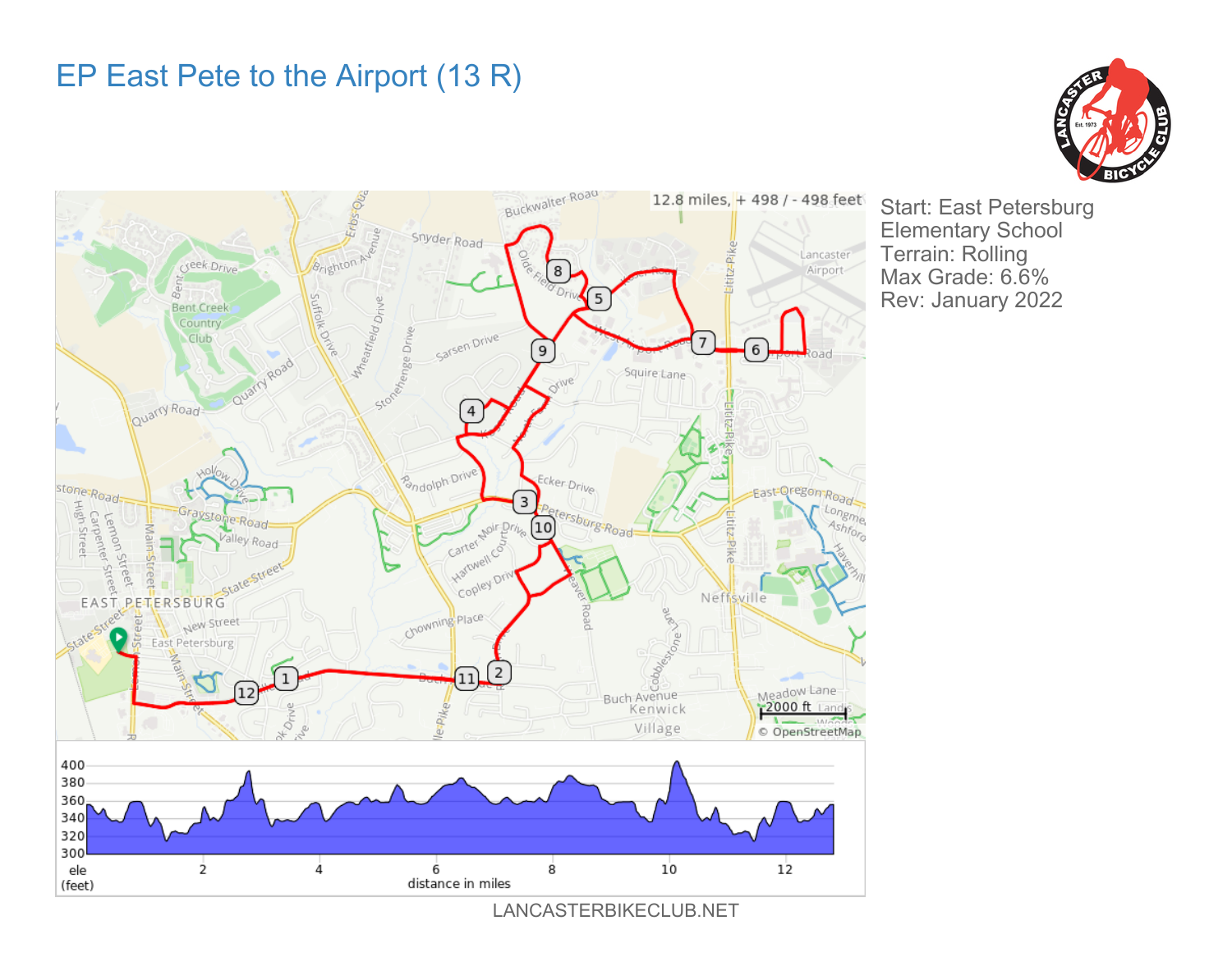## EP East Pete to the Airport (13 R)





Start: East Petersburg Elementary School Terrain: Rolling Max Grade: 6.6% Rev: January 2022

LANCASTERBIKECLUB.NET